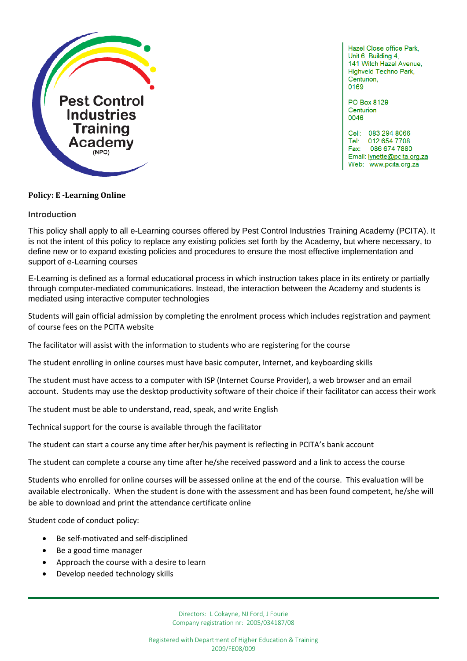

Hazel Close office Park, Unit 6, Building 4, 141 Witch Hazel Avenue, Highveld Techno Park, Centurion, 0169

**PO Box 8129** Centurion 0046

Cell: 083 294 8066 Tel: 012 654 7708 086 674 7880 Fax: Email: lynette@pcita.org.za Web: www.pcita.org.za

ľ

# **Policy: E -Learning Online**

## **Introduction**

This policy shall apply to all e-Learning courses offered by Pest Control Industries Training Academy (PCITA). It is not the intent of this policy to replace any existing policies set forth by the Academy, but where necessary, to define new or to expand existing policies and procedures to ensure the most effective implementation and support of e-Learning courses

E-Learning is defined as a formal educational process in which instruction takes place in its entirety or partially through computer-mediated communications. Instead, the interaction between the Academy and students is mediated using interactive computer technologies

Students will gain official admission by completing the enrolment process which includes registration and payment of course fees on the PCITA website

The facilitator will assist with the information to students who are registering for the course

The student enrolling in online courses must have basic computer, Internet, and keyboarding skills

The student must have access to a computer with ISP (Internet Course Provider), a web browser and an email account. Students may use the desktop productivity software of their choice if their facilitator can access their work

The student must be able to understand, read, speak, and write English

Technical support for the course is available through the facilitator

The student can start a course any time after her/his payment is reflecting in PCITA's bank account

The student can complete a course any time after he/she received password and a link to access the course

Students who enrolled for online courses will be assessed online at the end of the course. This evaluation will be available electronically. When the student is done with the assessment and has been found competent, he/she will be able to download and print the attendance certificate online

Student code of conduct policy:

- Be self-motivated and self-disciplined
- Be a good time manager
- Approach the course with a desire to learn
- Develop needed technology skills

Directors: L Cokayne, NJ Ford, J Fourie Company registration nr: 2005/034187/08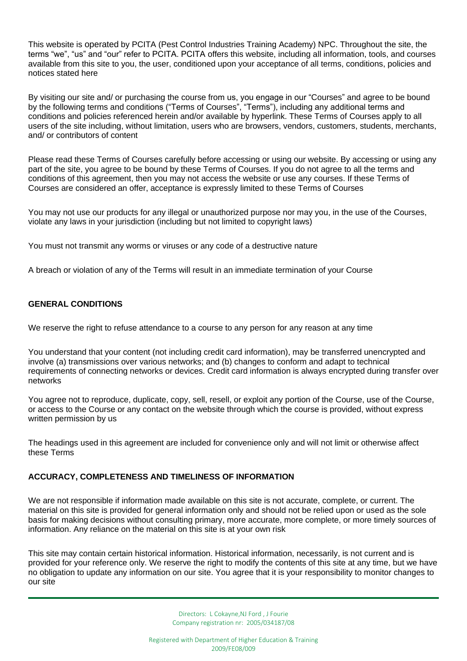This website is operated by PCITA (Pest Control Industries Training Academy) NPC. Throughout the site, the terms "we", "us" and "our" refer to PCITA. PCITA offers this website, including all information, tools, and courses available from this site to you, the user, conditioned upon your acceptance of all terms, conditions, policies and notices stated here

By visiting our site and/ or purchasing the course from us, you engage in our "Courses" and agree to be bound by the following terms and conditions ("Terms of Courses", "Terms"), including any additional terms and conditions and policies referenced herein and/or available by hyperlink. These Terms of Courses apply to all users of the site including, without limitation, users who are browsers, vendors, customers, students, merchants, and/ or contributors of content

Please read these Terms of Courses carefully before accessing or using our website. By accessing or using any part of the site, you agree to be bound by these Terms of Courses. If you do not agree to all the terms and conditions of this agreement, then you may not access the website or use any courses. If these Terms of Courses are considered an offer, acceptance is expressly limited to these Terms of Courses

You may not use our products for any illegal or unauthorized purpose nor may you, in the use of the Courses, violate any laws in your jurisdiction (including but not limited to copyright laws)

You must not transmit any worms or viruses or any code of a destructive nature

A breach or violation of any of the Terms will result in an immediate termination of your Course

# **GENERAL CONDITIONS**

We reserve the right to refuse attendance to a course to any person for any reason at any time

You understand that your content (not including credit card information), may be transferred unencrypted and involve (a) transmissions over various networks; and (b) changes to conform and adapt to technical requirements of connecting networks or devices. Credit card information is always encrypted during transfer over networks

You agree not to reproduce, duplicate, copy, sell, resell, or exploit any portion of the Course, use of the Course, or access to the Course or any contact on the website through which the course is provided, without express written permission by us

The headings used in this agreement are included for convenience only and will not limit or otherwise affect these Terms

## **ACCURACY, COMPLETENESS AND TIMELINESS OF INFORMATION**

We are not responsible if information made available on this site is not accurate, complete, or current. The material on this site is provided for general information only and should not be relied upon or used as the sole basis for making decisions without consulting primary, more accurate, more complete, or more timely sources of information. Any reliance on the material on this site is at your own risk

This site may contain certain historical information. Historical information, necessarily, is not current and is provided for your reference only. We reserve the right to modify the contents of this site at any time, but we have no obligation to update any information on our site. You agree that it is your responsibility to monitor changes to our site

> Directors: L Cokayne,NJ Ford , J Fourie Company registration nr: 2005/034187/08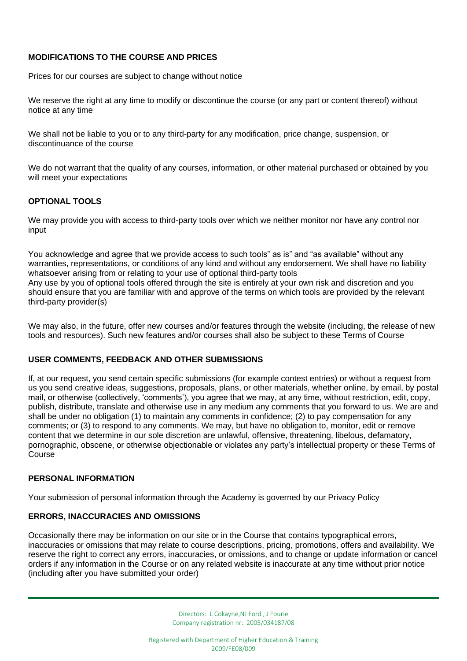## **MODIFICATIONS TO THE COURSE AND PRICES**

Prices for our courses are subject to change without notice

We reserve the right at any time to modify or discontinue the course (or any part or content thereof) without notice at any time

We shall not be liable to you or to any third-party for any modification, price change, suspension, or discontinuance of the course

We do not warrant that the quality of any courses, information, or other material purchased or obtained by you will meet your expectations

## **OPTIONAL TOOLS**

We may provide you with access to third-party tools over which we neither monitor nor have any control nor input

You acknowledge and agree that we provide access to such tools" as is" and "as available" without any warranties, representations, or conditions of any kind and without any endorsement. We shall have no liability whatsoever arising from or relating to your use of optional third-party tools Any use by you of optional tools offered through the site is entirely at your own risk and discretion and you should ensure that you are familiar with and approve of the terms on which tools are provided by the relevant third-party provider(s)

We may also, in the future, offer new courses and/or features through the website (including, the release of new tools and resources). Such new features and/or courses shall also be subject to these Terms of Course

#### **USER COMMENTS, FEEDBACK AND OTHER SUBMISSIONS**

If, at our request, you send certain specific submissions (for example contest entries) or without a request from us you send creative ideas, suggestions, proposals, plans, or other materials, whether online, by email, by postal mail, or otherwise (collectively, 'comments'), you agree that we may, at any time, without restriction, edit, copy, publish, distribute, translate and otherwise use in any medium any comments that you forward to us. We are and shall be under no obligation (1) to maintain any comments in confidence; (2) to pay compensation for any comments; or (3) to respond to any comments. We may, but have no obligation to, monitor, edit or remove content that we determine in our sole discretion are unlawful, offensive, threatening, libelous, defamatory, pornographic, obscene, or otherwise objectionable or violates any party's intellectual property or these Terms of Course

#### **PERSONAL INFORMATION**

Your submission of personal information through the Academy is governed by our Privacy Policy

#### **ERRORS, INACCURACIES AND OMISSIONS**

Occasionally there may be information on our site or in the Course that contains typographical errors, inaccuracies or omissions that may relate to course descriptions, pricing, promotions, offers and availability. We reserve the right to correct any errors, inaccuracies, or omissions, and to change or update information or cancel orders if any information in the Course or on any related website is inaccurate at any time without prior notice (including after you have submitted your order)

> Directors: L Cokayne,NJ Ford , J Fourie Company registration nr: 2005/034187/08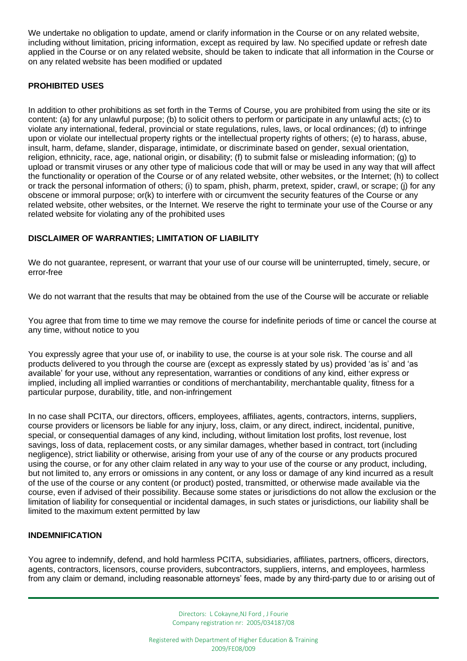We undertake no obligation to update, amend or clarify information in the Course or on any related website, including without limitation, pricing information, except as required by law. No specified update or refresh date applied in the Course or on any related website, should be taken to indicate that all information in the Course or on any related website has been modified or updated

### **PROHIBITED USES**

In addition to other prohibitions as set forth in the Terms of Course, you are prohibited from using the site or its content: (a) for any unlawful purpose; (b) to solicit others to perform or participate in any unlawful acts; (c) to violate any international, federal, provincial or state regulations, rules, laws, or local ordinances; (d) to infringe upon or violate our intellectual property rights or the intellectual property rights of others; (e) to harass, abuse, insult, harm, defame, slander, disparage, intimidate, or discriminate based on gender, sexual orientation, religion, ethnicity, race, age, national origin, or disability; (f) to submit false or misleading information; (g) to upload or transmit viruses or any other type of malicious code that will or may be used in any way that will affect the functionality or operation of the Course or of any related website, other websites, or the Internet; (h) to collect or track the personal information of others; (i) to spam, phish, pharm, pretext, spider, crawl, or scrape; (j) for any obscene or immoral purpose; or(k) to interfere with or circumvent the security features of the Course or any related website, other websites, or the Internet. We reserve the right to terminate your use of the Course or any related website for violating any of the prohibited uses

## **DISCLAIMER OF WARRANTIES; LIMITATION OF LIABILITY**

We do not guarantee, represent, or warrant that your use of our course will be uninterrupted, timely, secure, or error-free

We do not warrant that the results that may be obtained from the use of the Course will be accurate or reliable

You agree that from time to time we may remove the course for indefinite periods of time or cancel the course at any time, without notice to you

You expressly agree that your use of, or inability to use, the course is at your sole risk. The course and all products delivered to you through the course are (except as expressly stated by us) provided 'as is' and 'as available' for your use, without any representation, warranties or conditions of any kind, either express or implied, including all implied warranties or conditions of merchantability, merchantable quality, fitness for a particular purpose, durability, title, and non-infringement

In no case shall PCITA, our directors, officers, employees, affiliates, agents, contractors, interns, suppliers, course providers or licensors be liable for any injury, loss, claim, or any direct, indirect, incidental, punitive, special, or consequential damages of any kind, including, without limitation lost profits, lost revenue, lost savings, loss of data, replacement costs, or any similar damages, whether based in contract, tort (including negligence), strict liability or otherwise, arising from your use of any of the course or any products procured using the course, or for any other claim related in any way to your use of the course or any product, including, but not limited to, any errors or omissions in any content, or any loss or damage of any kind incurred as a result of the use of the course or any content (or product) posted, transmitted, or otherwise made available via the course, even if advised of their possibility. Because some states or jurisdictions do not allow the exclusion or the limitation of liability for consequential or incidental damages, in such states or jurisdictions, our liability shall be limited to the maximum extent permitted by law

#### **INDEMNIFICATION**

You agree to indemnify, defend, and hold harmless PCITA, subsidiaries, affiliates, partners, officers, directors, agents, contractors, licensors, course providers, subcontractors, suppliers, interns, and employees, harmless from any claim or demand, including reasonable attorneys' fees, made by any third-party due to or arising out of

> Directors: L Cokayne,NJ Ford , J Fourie Company registration nr: 2005/034187/08